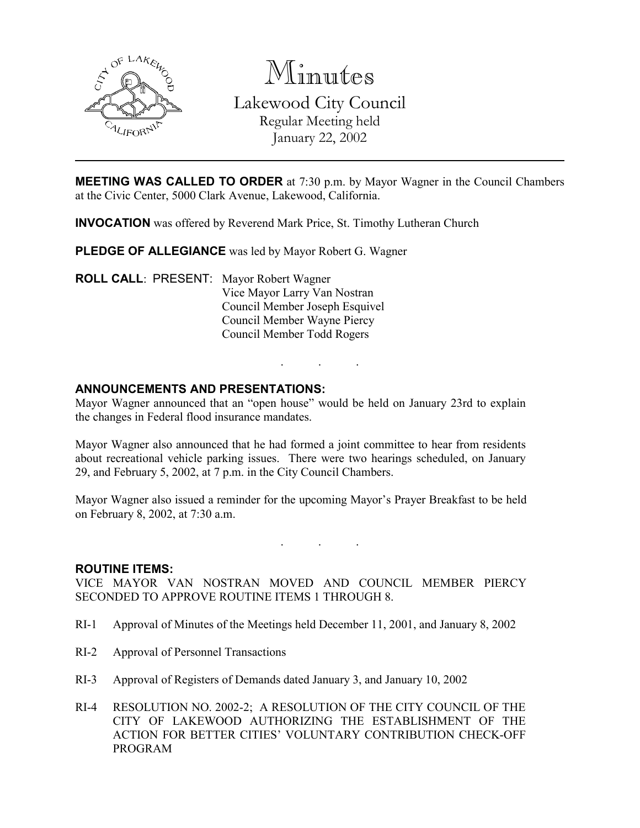

Minutes

Lakewood City Council Regular Meeting held January 22, 2002

MEETING WAS CALLED TO ORDER at 7:30 p.m. by Mayor Wagner in the Council Chambers at the Civic Center, 5000 Clark Avenue, Lakewood, California.

INVOCATION was offered by Reverend Mark Price, St. Timothy Lutheran Church

PLEDGE OF ALLEGIANCE was led by Mayor Robert G. Wagner

ROLL CALL: PRESENT: Mayor Robert Wagner Vice Mayor Larry Van Nostran Council Member Joseph Esquivel Council Member Wayne Piercy Council Member Todd Rogers

### ANNOUNCEMENTS AND PRESENTATIONS:

Mayor Wagner announced that an "open house" would be held on January 23rd to explain the changes in Federal flood insurance mandates.

. . .

Mayor Wagner also announced that he had formed a joint committee to hear from residents about recreational vehicle parking issues. There were two hearings scheduled, on January 29, and February 5, 2002, at 7 p.m. in the City Council Chambers.

Mayor Wagner also issued a reminder for the upcoming Mayor's Prayer Breakfast to be held on February 8, 2002, at 7:30 a.m.

. . .

#### ROUTINE ITEMS:

VICE MAYOR VAN NOSTRAN MOVED AND COUNCIL MEMBER PIERCY SECONDED TO APPROVE ROUTINE ITEMS 1 THROUGH 8.

- RI-1 Approval of Minutes of the Meetings held December 11, 2001, and January 8, 2002
- RI-2 Approval of Personnel Transactions
- RI-3 Approval of Registers of Demands dated January 3, and January 10, 2002
- RI-4 RESOLUTION NO. 2002-2; A RESOLUTION OF THE CITY COUNCIL OF THE CITY OF LAKEWOOD AUTHORIZING THE ESTABLISHMENT OF THE ACTION FOR BETTER CITIES' VOLUNTARY CONTRIBUTION CHECK-OFF PROGRAM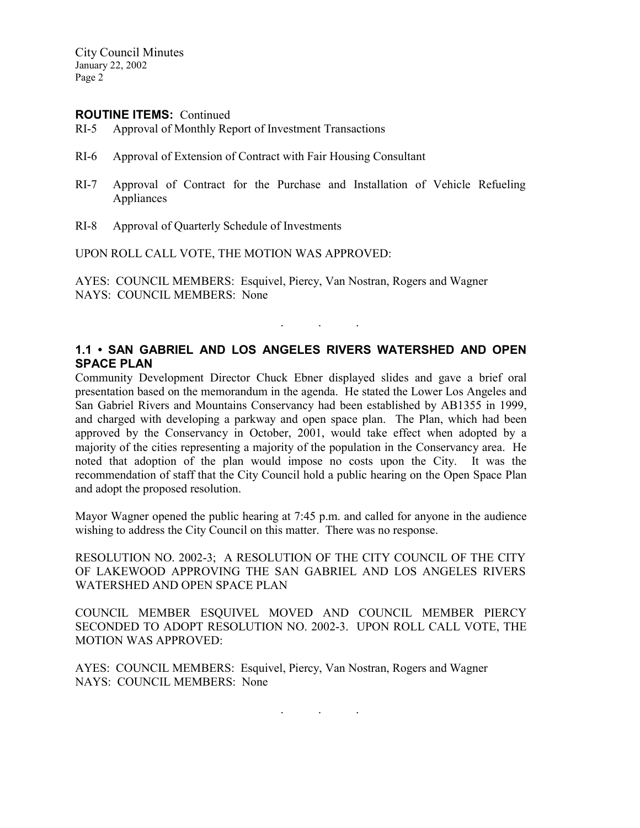City Council Minutes January 22, 2002 Page 2

#### ROUTINE ITEMS: Continued

- RI-5 Approval of Monthly Report of Investment Transactions
- RI-6 Approval of Extension of Contract with Fair Housing Consultant
- RI-7 Approval of Contract for the Purchase and Installation of Vehicle Refueling Appliances
- RI-8 Approval of Quarterly Schedule of Investments

UPON ROLL CALL VOTE, THE MOTION WAS APPROVED:

AYES: COUNCIL MEMBERS: Esquivel, Piercy, Van Nostran, Rogers and Wagner NAYS: COUNCIL MEMBERS: None

### 1.1 • SAN GABRIEL AND LOS ANGELES RIVERS WATERSHED AND OPEN SPACE PLAN

. . .

Community Development Director Chuck Ebner displayed slides and gave a brief oral presentation based on the memorandum in the agenda. He stated the Lower Los Angeles and San Gabriel Rivers and Mountains Conservancy had been established by AB1355 in 1999, and charged with developing a parkway and open space plan. The Plan, which had been approved by the Conservancy in October, 2001, would take effect when adopted by a majority of the cities representing a majority of the population in the Conservancy area. He noted that adoption of the plan would impose no costs upon the City. It was the recommendation of staff that the City Council hold a public hearing on the Open Space Plan and adopt the proposed resolution.

Mayor Wagner opened the public hearing at 7:45 p.m. and called for anyone in the audience wishing to address the City Council on this matter. There was no response.

RESOLUTION NO. 2002-3; A RESOLUTION OF THE CITY COUNCIL OF THE CITY OF LAKEWOOD APPROVING THE SAN GABRIEL AND LOS ANGELES RIVERS WATERSHED AND OPEN SPACE PLAN

COUNCIL MEMBER ESQUIVEL MOVED AND COUNCIL MEMBER PIERCY SECONDED TO ADOPT RESOLUTION NO. 2002-3. UPON ROLL CALL VOTE, THE MOTION WAS APPROVED:

AYES: COUNCIL MEMBERS: Esquivel, Piercy, Van Nostran, Rogers and Wagner NAYS: COUNCIL MEMBERS: None

. . .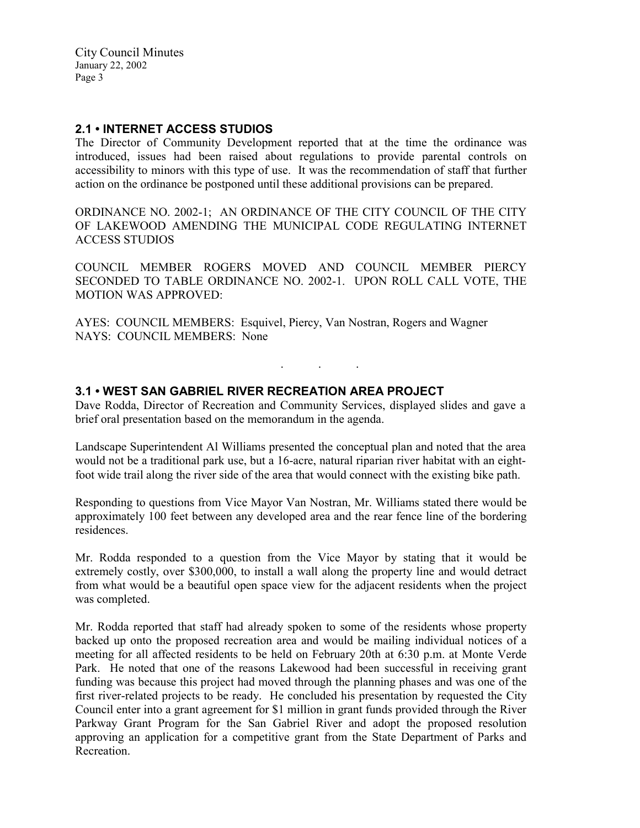City Council Minutes January 22, 2002 Page 3

## 2.1 • INTERNET ACCESS STUDIOS

The Director of Community Development reported that at the time the ordinance was introduced, issues had been raised about regulations to provide parental controls on accessibility to minors with this type of use. It was the recommendation of staff that further action on the ordinance be postponed until these additional provisions can be prepared.

ORDINANCE NO. 2002-1; AN ORDINANCE OF THE CITY COUNCIL OF THE CITY OF LAKEWOOD AMENDING THE MUNICIPAL CODE REGULATING INTERNET ACCESS STUDIOS

COUNCIL MEMBER ROGERS MOVED AND COUNCIL MEMBER PIERCY SECONDED TO TABLE ORDINANCE NO. 2002-1. UPON ROLL CALL VOTE, THE MOTION WAS APPROVED:

AYES: COUNCIL MEMBERS: Esquivel, Piercy, Van Nostran, Rogers and Wagner NAYS: COUNCIL MEMBERS: None

# 3.1 • WEST SAN GABRIEL RIVER RECREATION AREA PROJECT

Dave Rodda, Director of Recreation and Community Services, displayed slides and gave a brief oral presentation based on the memorandum in the agenda.

. . .

Landscape Superintendent Al Williams presented the conceptual plan and noted that the area would not be a traditional park use, but a 16-acre, natural riparian river habitat with an eightfoot wide trail along the river side of the area that would connect with the existing bike path.

Responding to questions from Vice Mayor Van Nostran, Mr. Williams stated there would be approximately 100 feet between any developed area and the rear fence line of the bordering residences.

Mr. Rodda responded to a question from the Vice Mayor by stating that it would be extremely costly, over \$300,000, to install a wall along the property line and would detract from what would be a beautiful open space view for the adjacent residents when the project was completed.

Mr. Rodda reported that staff had already spoken to some of the residents whose property backed up onto the proposed recreation area and would be mailing individual notices of a meeting for all affected residents to be held on February 20th at 6:30 p.m. at Monte Verde Park. He noted that one of the reasons Lakewood had been successful in receiving grant funding was because this project had moved through the planning phases and was one of the first river-related projects to be ready. He concluded his presentation by requested the City Council enter into a grant agreement for \$1 million in grant funds provided through the River Parkway Grant Program for the San Gabriel River and adopt the proposed resolution approving an application for a competitive grant from the State Department of Parks and **Recreation**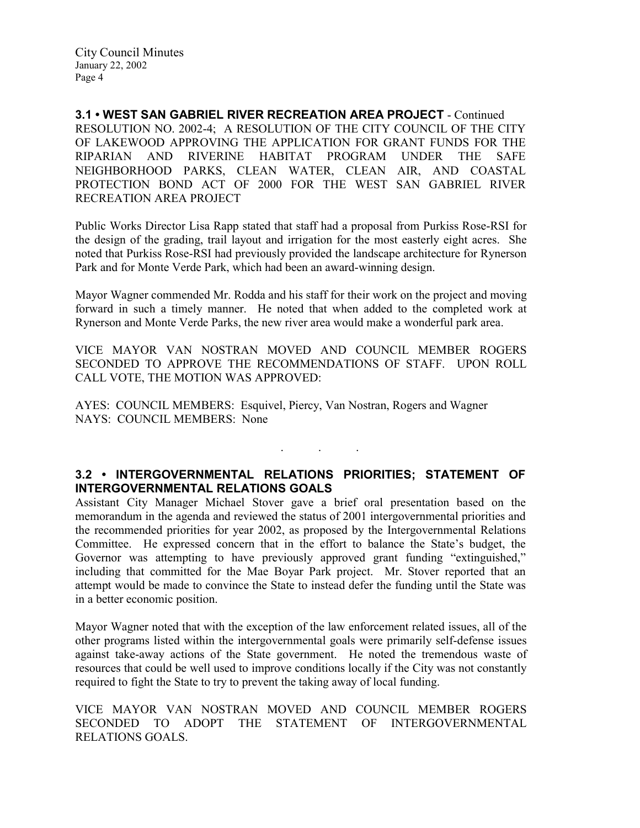3.1 • WEST SAN GABRIEL RIVER RECREATION AREA PROJECT - Continued RESOLUTION NO. 2002-4; A RESOLUTION OF THE CITY COUNCIL OF THE CITY OF LAKEWOOD APPROVING THE APPLICATION FOR GRANT FUNDS FOR THE RIPARIAN AND RIVERINE HABITAT PROGRAM UNDER THE SAFE NEIGHBORHOOD PARKS, CLEAN WATER, CLEAN AIR, AND COASTAL PROTECTION BOND ACT OF 2000 FOR THE WEST SAN GABRIEL RIVER RECREATION AREA PROJECT

Public Works Director Lisa Rapp stated that staff had a proposal from Purkiss Rose-RSI for the design of the grading, trail layout and irrigation for the most easterly eight acres. She noted that Purkiss Rose-RSI had previously provided the landscape architecture for Rynerson Park and for Monte Verde Park, which had been an award-winning design.

Mayor Wagner commended Mr. Rodda and his staff for their work on the project and moving forward in such a timely manner. He noted that when added to the completed work at Rynerson and Monte Verde Parks, the new river area would make a wonderful park area.

VICE MAYOR VAN NOSTRAN MOVED AND COUNCIL MEMBER ROGERS SECONDED TO APPROVE THE RECOMMENDATIONS OF STAFF. UPON ROLL CALL VOTE, THE MOTION WAS APPROVED:

AYES: COUNCIL MEMBERS: Esquivel, Piercy, Van Nostran, Rogers and Wagner NAYS: COUNCIL MEMBERS: None

## 3.2 • INTERGOVERNMENTAL RELATIONS PRIORITIES; STATEMENT OF INTERGOVERNMENTAL RELATIONS GOALS

 $\mathbf{r}$  .  $\mathbf{r}$  ,  $\mathbf{r}$  ,  $\mathbf{r}$  ,  $\mathbf{r}$  ,  $\mathbf{r}$  ,  $\mathbf{r}$ 

Assistant City Manager Michael Stover gave a brief oral presentation based on the memorandum in the agenda and reviewed the status of 2001 intergovernmental priorities and the recommended priorities for year 2002, as proposed by the Intergovernmental Relations Committee. He expressed concern that in the effort to balance the State's budget, the Governor was attempting to have previously approved grant funding "extinguished," including that committed for the Mae Boyar Park project. Mr. Stover reported that an attempt would be made to convince the State to instead defer the funding until the State was in a better economic position.

Mayor Wagner noted that with the exception of the law enforcement related issues, all of the other programs listed within the intergovernmental goals were primarily self-defense issues against take-away actions of the State government. He noted the tremendous waste of resources that could be well used to improve conditions locally if the City was not constantly required to fight the State to try to prevent the taking away of local funding.

VICE MAYOR VAN NOSTRAN MOVED AND COUNCIL MEMBER ROGERS SECONDED TO ADOPT THE STATEMENT OF INTERGOVERNMENTAL RELATIONS GOALS.